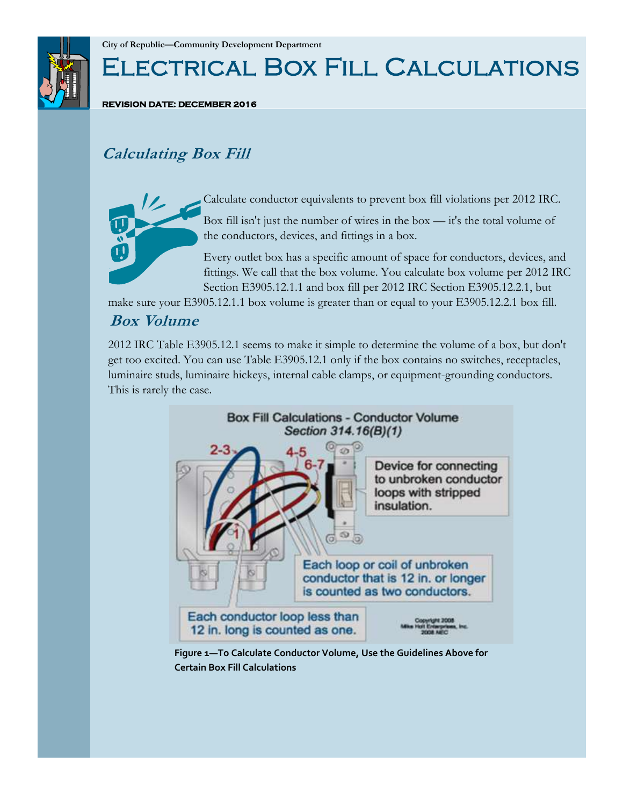

# Electrical Box Fill Calculations

**REVISION DATE: DECEMBER 2016** 

# **Calculating Box Fill**



Calculate conductor equivalents to prevent box fill violations per 2012 IRC.

Box fill isn't just the number of wires in the box — it's the total volume of the conductors, devices, and fittings in a box.

Every outlet box has a specific amount of space for conductors, devices, and fittings. We call that the box volume. You calculate box volume per 2012 IRC Section E3905.12.1.1 and box fill per 2012 IRC Section E3905.12.2.1, but

make sure your E3905.12.1.1 box volume is greater than or equal to your E3905.12.2.1 box fill.

### **Box Volume**

2012 IRC Table E3905.12.1 seems to make it simple to determine the volume of a box, but don't get too excited. You can use Table E3905.12.1 only if the box contains no switches, receptacles, luminaire studs, luminaire hickeys, internal cable clamps, or equipment-grounding conductors. This is rarely the case.



**Figure 1—To Calculate Conductor Volume, Use the Guidelines Above for Certain Box Fill Calculations**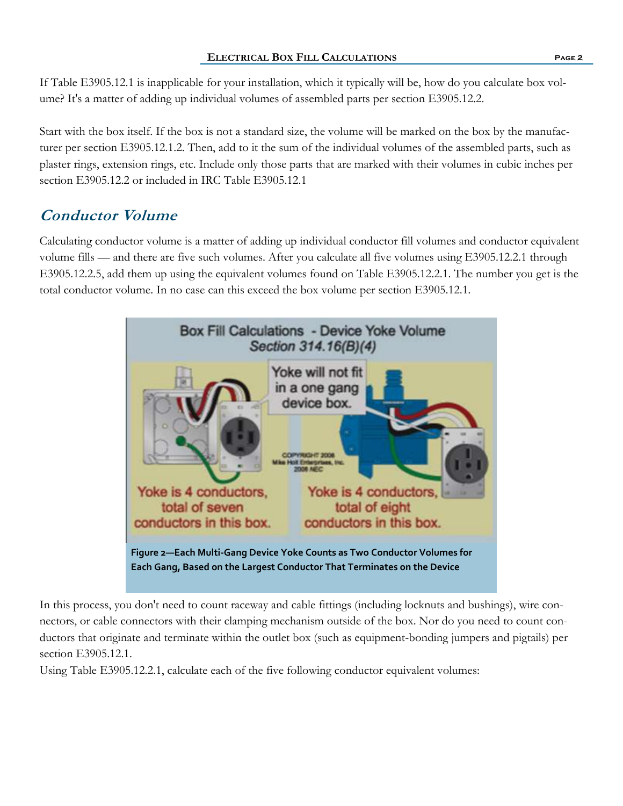#### **ELECTRICAL BOX FILL CALCULATIONS Page 2**

If Table E3905.12.1 is inapplicable for your installation, which it typically will be, how do you calculate box volume? It's a matter of adding up individual volumes of assembled parts per section E3905.12.2.

Start with the box itself. If the box is not a standard size, the volume will be marked on the box by the manufacturer per section E3905.12.1.2. Then, add to it the sum of the individual volumes of the assembled parts, such as plaster rings, extension rings, etc. Include only those parts that are marked with their volumes in cubic inches per section E3905.12.2 or included in IRC Table E3905.12.1

# **Conductor Volume**

Calculating conductor volume is a matter of adding up individual conductor fill volumes and conductor equivalent volume fills — and there are five such volumes. After you calculate all five volumes using E3905.12.2.1 through E3905.12.2.5, add them up using the equivalent volumes found on Table E3905.12.2.1. The number you get is the total conductor volume. In no case can this exceed the box volume per section E3905.12.1.



In this process, you don't need to count raceway and cable fittings (including locknuts and bushings), wire connectors, or cable connectors with their clamping mechanism outside of the box. Nor do you need to count conductors that originate and terminate within the outlet box (such as equipment-bonding jumpers and pigtails) per section E3905.12.1.

Using Table E3905.12.2.1, calculate each of the five following conductor equivalent volumes: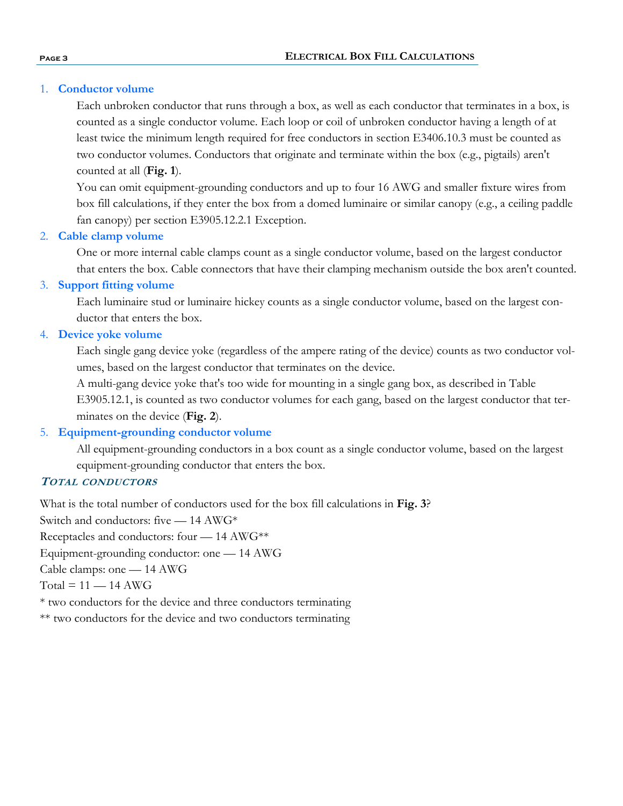#### 1. **Conductor volume**

Each unbroken conductor that runs through a box, as well as each conductor that terminates in a box, is counted as a single conductor volume. Each loop or coil of unbroken conductor having a length of at least twice the minimum length required for free conductors in section E3406.10.3 must be counted as two conductor volumes. Conductors that originate and terminate within the box (e.g., pigtails) aren't counted at all (**Fig. 1**).

You can omit equipment-grounding conductors and up to four 16 AWG and smaller fixture wires from box fill calculations, if they enter the box from a domed luminaire or similar canopy (e.g., a ceiling paddle fan canopy) per section E3905.12.2.1 Exception.

#### 2. **Cable clamp volume**

One or more internal cable clamps count as a single conductor volume, based on the largest conductor that enters the box. Cable connectors that have their clamping mechanism outside the box aren't counted.

#### 3. **Support fitting volume**

Each luminaire stud or luminaire hickey counts as a single conductor volume, based on the largest conductor that enters the box.

#### 4. **Device yoke volume**

Each single gang device yoke (regardless of the ampere rating of the device) counts as two conductor volumes, based on the largest conductor that terminates on the device.

A multi-gang device yoke that's too wide for mounting in a single gang box, as described in Table E3905.12.1, is counted as two conductor volumes for each gang, based on the largest conductor that terminates on the device (**Fig. 2**).

#### 5. **Equipment-grounding conductor volume**

All equipment-grounding conductors in a box count as a single conductor volume, based on the largest equipment-grounding conductor that enters the box.

#### **TOTAL CONDUCTORS**

What is the total number of conductors used for the box fill calculations in **Fig. 3**?

Switch and conductors: five — 14 AWG\*

Receptacles and conductors: four — 14 AWG\*\*

Equipment-grounding conductor: one — 14 AWG

Cable clamps: one — 14 AWG

 $Total = 11 - 14$   $AWG$ 

\* two conductors for the device and three conductors terminating

\*\* two conductors for the device and two conductors terminating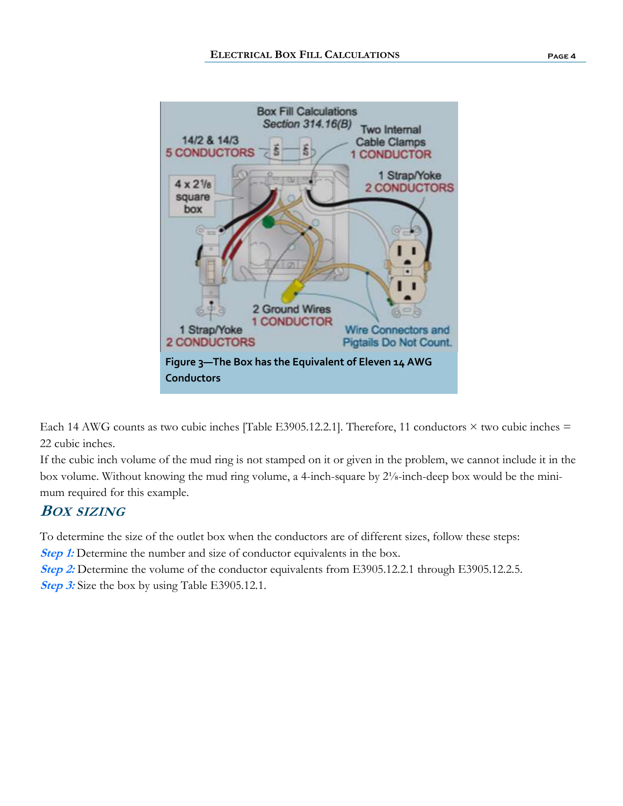

Each 14 AWG counts as two cubic inches [Table E3905.12.2.1]. Therefore, 11 conductors  $\times$  two cubic inches  $=$ 22 cubic inches.

If the cubic inch volume of the mud ring is not stamped on it or given in the problem, we cannot include it in the box volume. Without knowing the mud ring volume, a 4-inch-square by 2⅛-inch-deep box would be the minimum required for this example.

## **BOX SIZING**

To determine the size of the outlet box when the conductors are of different sizes, follow these steps:

**Step 1:** Determine the number and size of conductor equivalents in the box.

**Step 2:** Determine the volume of the conductor equivalents from E3905.12.2.1 through E3905.12.2.5. **Step 3:** Size the box by using Table E3905.12.1.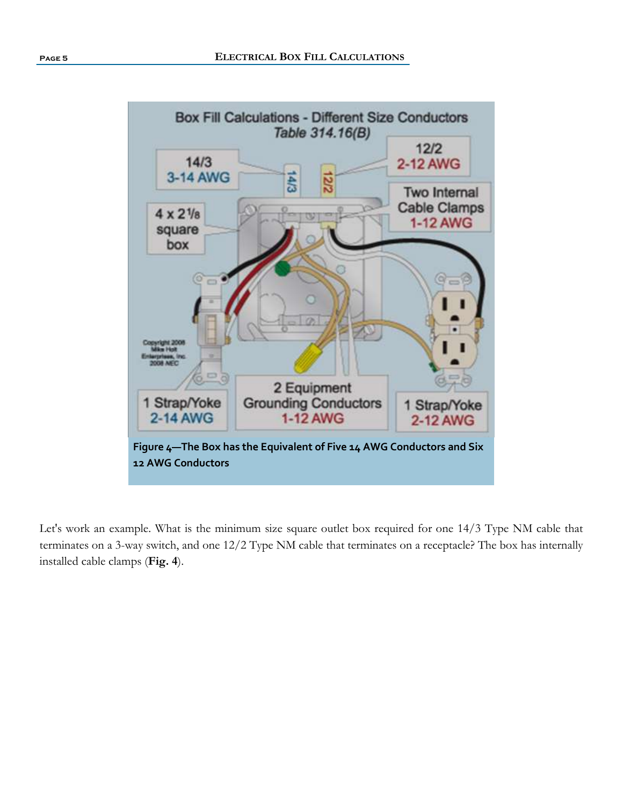

Let's work an example. What is the minimum size square outlet box required for one 14/3 Type NM cable that terminates on a 3-way switch, and one 12/2 Type NM cable that terminates on a receptacle? The box has internally installed cable clamps (**Fig. 4**).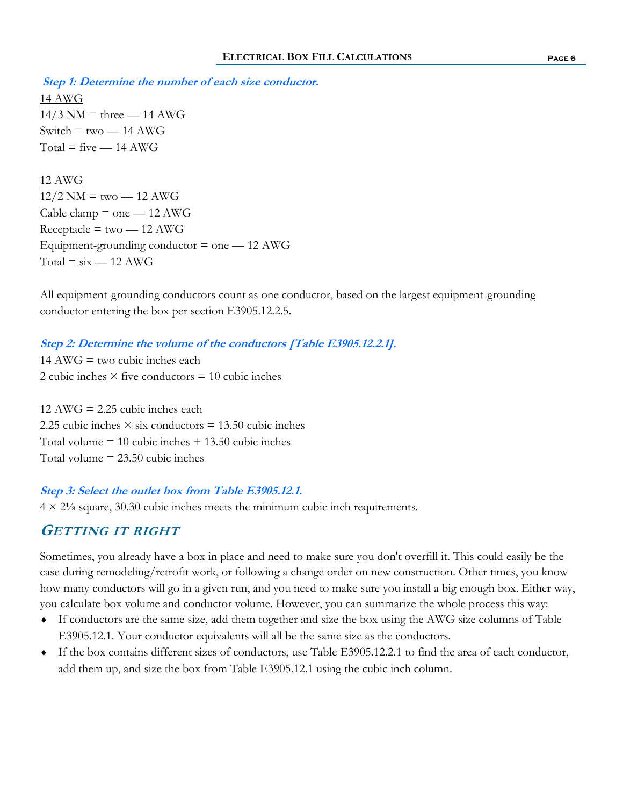**Step 1: Determine the number of each size conductor.** 14 AWG  $14/3$  NM = three  $- 14$  AWG Switch  $=$  two  $-$  14 AWG  $Total = five - 14$   $AWG$ 

12 AWG  $12/2$  NM = two  $-12$  AWG Cable clamp  $=$  one  $-$  12 AWG  $Receptacle = two - 12 AWG$ Equipment-grounding conductor  $=$  one  $-12$  AWG  $Total = six - 12$  AWG

All equipment-grounding conductors count as one conductor, based on the largest equipment-grounding conductor entering the box per section E3905.12.2.5.

#### **Step 2: Determine the volume of the conductors [Table E3905.12.2.1].**

 $14 \text{ AWG} =$  two cubic inches each 2 cubic inches  $\times$  five conductors = 10 cubic inches

 $12 \text{ AWG} = 2.25 \text{ cubic inches each}$ 2.25 cubic inches  $\times$  six conductors = 13.50 cubic inches Total volume  $= 10$  cubic inches  $+ 13.50$  cubic inches Total volume  $= 23.50$  cubic inches

#### **Step 3: Select the outlet box from Table E3905.12.1.**

 $4 \times 2\frac{1}{8}$  square, 30.30 cubic inches meets the minimum cubic inch requirements.

#### **GETTING IT RIGHT**

Sometimes, you already have a box in place and need to make sure you don't overfill it. This could easily be the case during remodeling/retrofit work, or following a change order on new construction. Other times, you know how many conductors will go in a given run, and you need to make sure you install a big enough box. Either way, you calculate box volume and conductor volume. However, you can summarize the whole process this way:

- If conductors are the same size, add them together and size the box using the AWG size columns of Table E3905.12.1. Your conductor equivalents will all be the same size as the conductors.
- If the box contains different sizes of conductors, use Table E3905.12.2.1 to find the area of each conductor, add them up, and size the box from Table E3905.12.1 using the cubic inch column.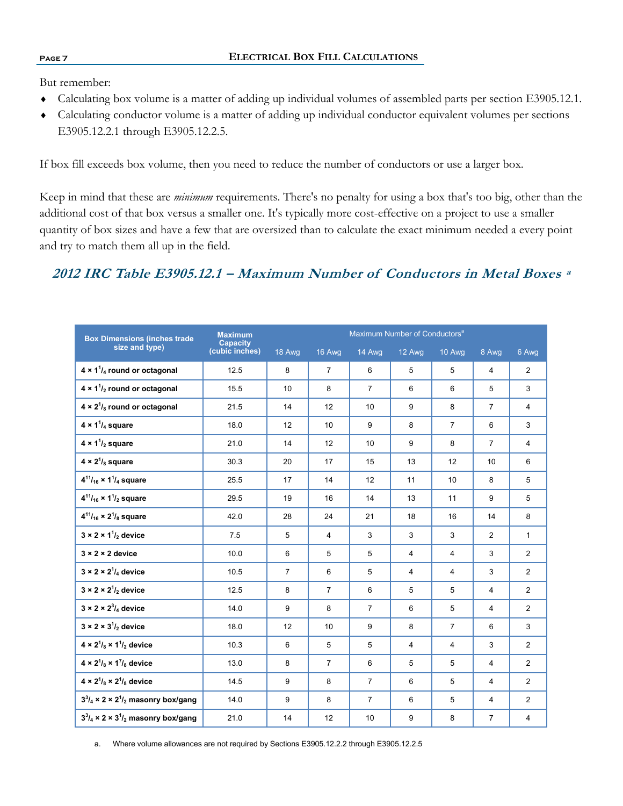But remember:

- Calculating box volume is a matter of adding up individual volumes of assembled parts per section E3905.12.1.
- Calculating conductor volume is a matter of adding up individual conductor equivalent volumes per sections E3905.12.2.1 through E3905.12.2.5.

If box fill exceeds box volume, then you need to reduce the number of conductors or use a larger box.

Keep in mind that these are *minimum* requirements. There's no penalty for using a box that's too big, other than the additional cost of that box versus a smaller one. It's typically more cost-effective on a project to use a smaller quantity of box sizes and have a few that are oversized than to calculate the exact minimum needed a every point and try to match them all up in the field.

## **2012 IRC Table E3905.12.1 – Maximum Number of Conductors in Metal Boxes a**

| <b>Box Dimensions (inches trade</b>                                         | <b>Maximum</b>                    | Maximum Number of Conductors <sup>a</sup> |                |                |                |                |                |                |
|-----------------------------------------------------------------------------|-----------------------------------|-------------------------------------------|----------------|----------------|----------------|----------------|----------------|----------------|
| size and type)                                                              | <b>Capacity</b><br>(cubic inches) | 18 Awg                                    | 16 Awg         | 14 Awg         | 12 Awg         | 10 Awg         | 8 Awg          | 6 Awg          |
| $4 \times 1^{1}/_{4}$ round or octagonal                                    | 12.5                              | 8                                         | $\overline{7}$ | 6              | 5              | 5              | 4              | 2              |
| $4 \times 1^{1}/_{2}$ round or octagonal                                    | 15.5                              | 10                                        | 8              | $\overline{7}$ | 6              | 6              | 5              | 3              |
| $4 \times 2^{1}/_{8}$ round or octagonal                                    | 21.5                              | 14                                        | 12             | 10             | 9              | 8              | $\overline{7}$ | $\overline{4}$ |
| $4 \times 1^{1}/_{4}$ square                                                | 18.0                              | 12                                        | 10             | 9              | 8              | $\overline{7}$ | 6              | 3              |
| $4 \times 1^{1}/_{2}$ square                                                | 21.0                              | 14                                        | 12             | 10             | 9              | 8              | $\overline{7}$ | $\overline{4}$ |
| $4 \times 2^{1}/_{8}$ square                                                | 30.3                              | 20                                        | 17             | 15             | 13             | 12             | 10             | 6              |
| $4^{11}/_{16} \times 1^{1}/_{4}$ square                                     | 25.5                              | 17                                        | 14             | 12             | 11             | 10             | 8              | 5              |
| $4^{11}/_{16} \times 1^{1}/_2$ square                                       | 29.5                              | 19                                        | 16             | 14             | 13             | 11             | 9              | 5              |
| $4^{11}/_{16} \times 2^{1}/_8$ square                                       | 42.0                              | 28                                        | 24             | 21             | 18             | 16             | 14             | 8              |
| $3 \times 2 \times 1^{1}/2$ device                                          | 7.5                               | 5                                         | $\overline{4}$ | 3              | 3              | 3              | $\overline{2}$ | $\mathbf{1}$   |
| $3 \times 2 \times 2$ device                                                | 10.0                              | 6                                         | 5              | 5              | $\overline{4}$ | $\overline{4}$ | 3              | 2              |
| $3 \times 2 \times 2^1$ / <sub>4</sub> device                               | 10.5                              | $\overline{7}$                            | 6              | 5              | $\overline{4}$ | $\overline{4}$ | 3              | 2              |
| $3 \times 2 \times 2^1$ / <sub>2</sub> device                               | 12.5                              | 8                                         | $\overline{7}$ | 6              | 5              | 5              | 4              | 2              |
| $3 \times 2 \times 2^3$ / <sub>4</sub> device                               | 14.0                              | 9                                         | 8              | $\overline{7}$ | 6              | 5              | $\overline{4}$ | 2              |
| $3 \times 2 \times 3^{1}/_{2}$ device                                       | 18.0                              | 12                                        | 10             | 9              | 8              | $\overline{7}$ | 6              | 3              |
| $4 \times 2^{1}/_{8} \times 1^{1}/_{2}$ device                              | 10.3                              | 6                                         | 5              | 5              | $\overline{4}$ | $\overline{4}$ | 3              | 2              |
| $4 \times 2^1$ / <sub>8</sub> $\times$ 1 <sup>7</sup> / <sub>8</sub> device | 13.0                              | 8                                         | $\overline{7}$ | 6              | 5              | 5              | $\overline{4}$ | $\overline{c}$ |
| $4 \times 2^{1}/_{8} \times 2^{1}/_{8}$ device                              | 14.5                              | 9                                         | 8              | $\overline{7}$ | 6              | 5              | 4              | $\overline{2}$ |
| $3^{3}/_{4} \times 2 \times 2^{1}/_{2}$ masonry box/gang                    | 14.0                              | 9                                         | 8              | $\overline{7}$ | 6              | 5              | 4              | $\overline{2}$ |
| $3^{3}/_{4} \times 2 \times 3^{1}/_{2}$ masonry box/gang                    | 21.0                              | 14                                        | 12             | 10             | 9              | 8              | $\overline{7}$ | $\overline{4}$ |

a. Where volume allowances are not required by Sections E3905.12.2.2 through E3905.12.2.5